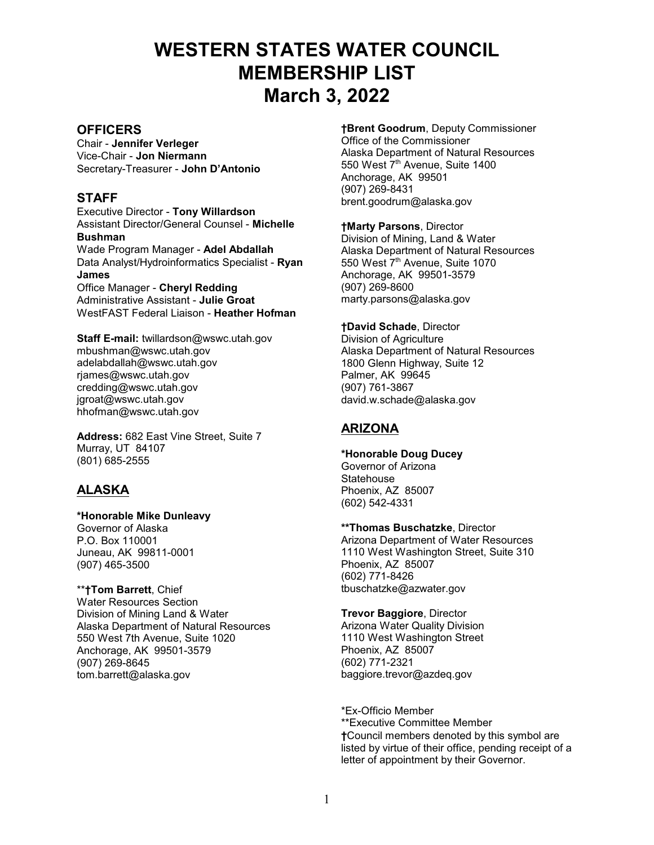# **WESTERN STATES WATER COUNCIL MEMBERSHIP LIST March 3, 2022**

# **OFFICERS**

Chair - **Jennifer Verleger** Vice-Chair - **Jon Niermann** Secretary-Treasurer - **John D'Antonio** 

# **STAFF**

Executive Director - **Tony Willardson** Assistant Director/General Counsel - **Michelle Bushman** Wade Program Manager - **Adel Abdallah** Data Analyst/Hydroinformatics Specialist - **Ryan James** Office Manager - **Cheryl Redding** Administrative Assistant - **Julie Groat** WestFAST Federal Liaison - **Heather Hofman**

**Staff E-mail:** twillardson@wswc.utah.gov mbushman@wswc.utah.gov adelabdallah@wswc.utah.gov rjames@wswc.utah.gov credding@wswc.utah.gov jgroat@wswc.utah.gov hhofman@wswc.utah.gov

**Address:** 682 East Vine Street, Suite 7 Murray, UT 84107 (801) 685-2555

# **ALASKA**

**\*Honorable Mike Dunleavy**  Governor of Alaska P.O. Box 110001 Juneau, AK 99811-0001 (907) 465-3500

\*\***†Tom Barrett**, Chief Water Resources Section Division of Mining Land & Water Alaska Department of Natural Resources 550 West 7th Avenue, Suite 1020 Anchorage, AK 99501-3579 (907) 269-8645 tom.barrett@alaska.gov

**†Brent Goodrum**, Deputy Commissioner Office of the Commissioner Alaska Department of Natural Resources 550 West  $7<sup>th</sup>$  Avenue, Suite 1400 Anchorage, AK 99501 (907) 269-8431 brent.goodrum@alaska.gov

**†Marty Parsons**, Director Division of Mining, Land & Water Alaska Department of Natural Resources 550 West 7<sup>th</sup> Avenue, Suite 1070 Anchorage, AK 99501-3579 (907) 269-8600 marty.parsons@alaska.gov

**†David Schade**, Director Division of Agriculture Alaska Department of Natural Resources 1800 Glenn Highway, Suite 12 Palmer, AK 99645 (907) 761-3867 david.w.schade@alaska.gov

# **ARIZONA**

**\*Honorable Doug Ducey** Governor of Arizona **Statehouse** Phoenix, AZ 85007 (602) 542-4331

**\*\*Thomas Buschatzke**, Director Arizona Department of Water Resources 1110 West Washington Street, Suite 310 Phoenix, AZ 85007 (602) 771-8426 tbuschatzke@azwater.gov

**Trevor Baggiore**, Director Arizona Water Quality Division 1110 West Washington Street Phoenix, AZ 85007 (602) 771-2321 baggiore.trevor@azdeq.gov

\*Ex-Officio Member \*\*Executive Committee Member **†**Council members denoted by this symbol are listed by virtue of their office, pending receipt of a letter of appointment by their Governor.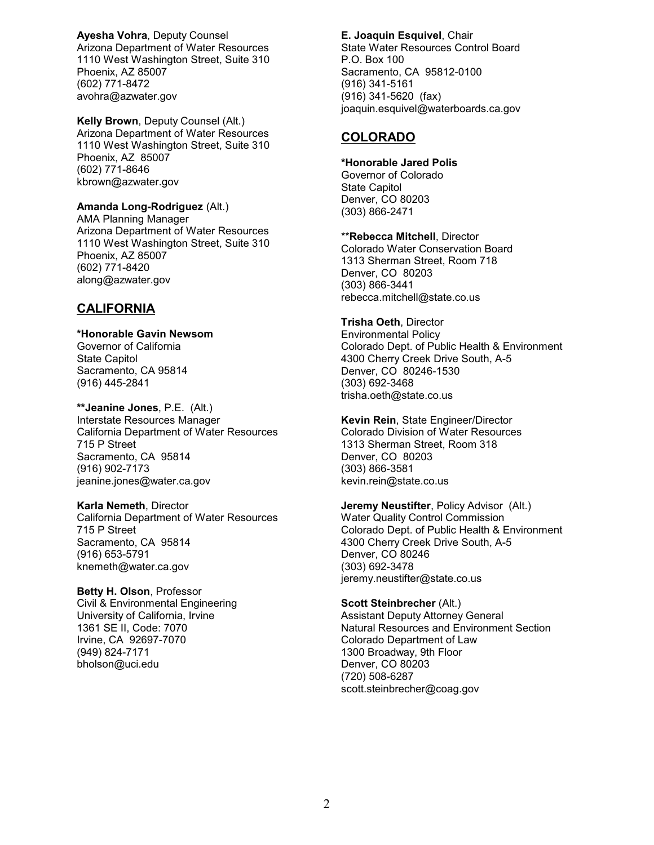**Ayesha Vohra**, Deputy Counsel Arizona Department of Water Resources 1110 West Washington Street, Suite 310 Phoenix, AZ 85007 (602) 771-8472 avohra@azwater.gov

**Kelly Brown**, Deputy Counsel (Alt.) Arizona Department of Water Resources 1110 West Washington Street, Suite 310 Phoenix, AZ 85007 (602) 771-8646 kbrown@azwater.gov

# **Amanda Long-Rodriguez** (Alt.)

AMA Planning Manager Arizona Department of Water Resources 1110 West Washington Street, Suite 310 Phoenix, AZ 85007 (602) 771-8420 along@azwater.gov

# **CALIFORNIA**

# **\*Honorable Gavin Newsom**

Governor of California State Capitol Sacramento, CA 95814 (916) 445-2841

**\*\*Jeanine Jones**, P.E. (Alt.) Interstate Resources Manager California Department of Water Resources 715 P Street Sacramento, CA 95814 (916) 902-7173 jeanine.jones@water.ca.gov

**Karla Nemeth**, Director California Department of Water Resources 715 P Street Sacramento, CA 95814 (916) 653-5791 knemeth@water.ca.gov

**Betty H. Olson**, Professor Civil & Environmental Engineering University of California, Irvine 1361 SE II, Code: 7070 Irvine, CA 92697-7070 (949) 824-7171 bholson@uci.edu

### **E. Joaquin Esquivel**, Chair State Water Resources Control Board P.O. Box 100 Sacramento, CA 95812-0100 (916) 341-5161 (916) 341-5620 (fax) joaquin.esquivel@waterboards.ca.gov

# **COLORADO**

### **\*Honorable Jared Polis**

Governor of Colorado State Capitol Denver, CO 80203 (303) 866-2471

\*\***Rebecca Mitchell**, Director Colorado Water Conservation Board 1313 Sherman Street, Room 718 Denver, CO 80203 (303) 866-3441 rebecca.mitchell@state.co.us

### **Trisha Oeth**, Director

Environmental Policy Colorado Dept. of Public Health & Environment 4300 Cherry Creek Drive South, A-5 Denver, CO 80246-1530 (303) 692-3468 trisha.oeth@state.co.us

**Kevin Rein**, State Engineer/Director Colorado Division of Water Resources 1313 Sherman Street, Room 318 Denver, CO 80203 (303) 866-3581 kevin.rein@state.co.us

# **Jeremy Neustifter**, Policy Advisor (Alt.)

Water Quality Control Commission Colorado Dept. of Public Health & Environment 4300 Cherry Creek Drive South, A-5 Denver, CO 80246 (303) 692-3478 jeremy.neustifter@state.co.us

### **Scott Steinbrecher** (Alt.)

Assistant Deputy Attorney General Natural Resources and Environment Section Colorado Department of Law 1300 Broadway, 9th Floor Denver, CO 80203 (720) 508-6287 scott.steinbrecher@coag.gov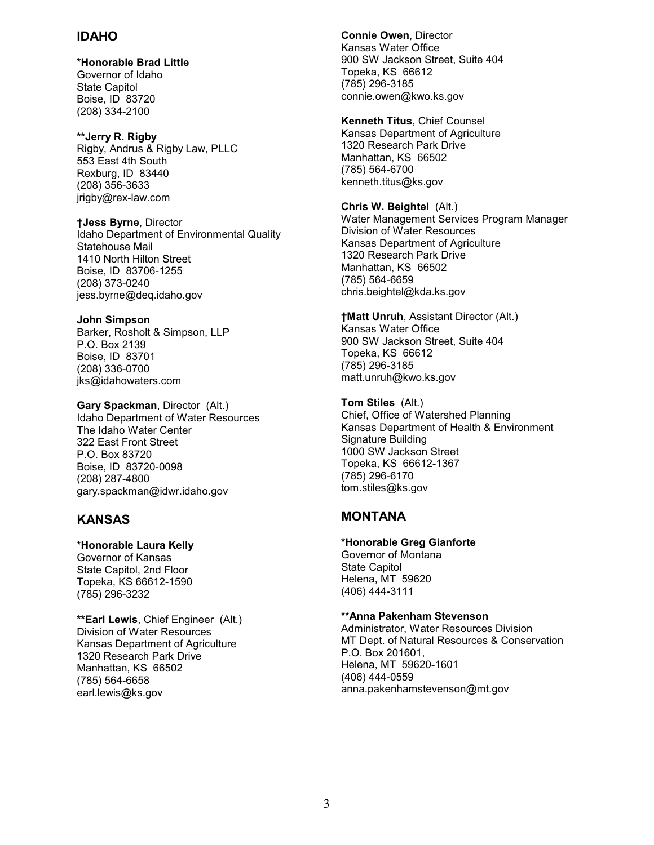# **IDAHO**

**\*Honorable Brad Little** Governor of Idaho State Capitol Boise, ID 83720 (208) 334-2100

**\*\*Jerry R. Rigby** Rigby, Andrus & Rigby Law, PLLC 553 East 4th South Rexburg, ID 83440 (208) 356-3633 jrigby@rex-law.com

**†Jess Byrne**, Director Idaho Department of Environmental Quality Statehouse Mail 1410 North Hilton Street Boise, ID 83706-1255 (208) 373-0240 jess.byrne@deq.idaho.gov

**John Simpson** Barker, Rosholt & Simpson, LLP P.O. Box 2139 Boise, ID 83701 (208) 336-0700 jks@idahowaters.com

**Gary Spackman**, Director (Alt.) Idaho Department of Water Resources The Idaho Water Center 322 East Front Street P.O. Box 83720 Boise, ID 83720-0098 (208) 287-4800 gary.spackman@idwr.idaho.gov

# **KANSAS**

(785) 296-3232

**\*Honorable Laura Kelly** Governor of Kansas State Capitol, 2nd Floor Topeka, KS 66612-1590

**\*\*Earl Lewis**, Chief Engineer (Alt.) Division of Water Resources Kansas Department of Agriculture 1320 Research Park Drive Manhattan, KS 66502 (785) 564-6658 earl.lewis@ks.gov

**Connie Owen**, Director Kansas Water Office 900 SW Jackson Street, Suite 404 Topeka, KS 66612 (785) 296-3185 connie.owen@kwo.ks.gov

**Kenneth Titus**, Chief Counsel Kansas Department of Agriculture 1320 Research Park Drive Manhattan, KS 66502 (785) 564-6700 kenneth.titus@ks.gov

**Chris W. Beightel** (Alt.) Water Management Services Program Manager Division of Water Resources Kansas Department of Agriculture 1320 Research Park Drive Manhattan, KS 66502 (785) 564-6659 chris.beightel@kda.ks.gov

**†Matt Unruh**, Assistant Director (Alt.) Kansas Water Office 900 SW Jackson Street, Suite 404 Topeka, KS 66612 (785) 296-3185 matt.unruh@kwo.ks.gov

**Tom Stiles** (Alt.) Chief, Office of Watershed Planning Kansas Department of Health & Environment Signature Building 1000 SW Jackson Street Topeka, KS 66612-1367 (785) 296-6170 tom.stiles@ks.gov

# **MONTANA**

**\*Honorable Greg Gianforte** Governor of Montana State Capitol Helena, MT 59620 (406) 444-3111

**\*\*Anna Pakenham Stevenson**

Administrator, Water Resources Division MT Dept. of Natural Resources & Conservation P.O. Box 201601, Helena, MT 59620-1601 (406) 444-0559 anna.pakenhamstevenson@mt.gov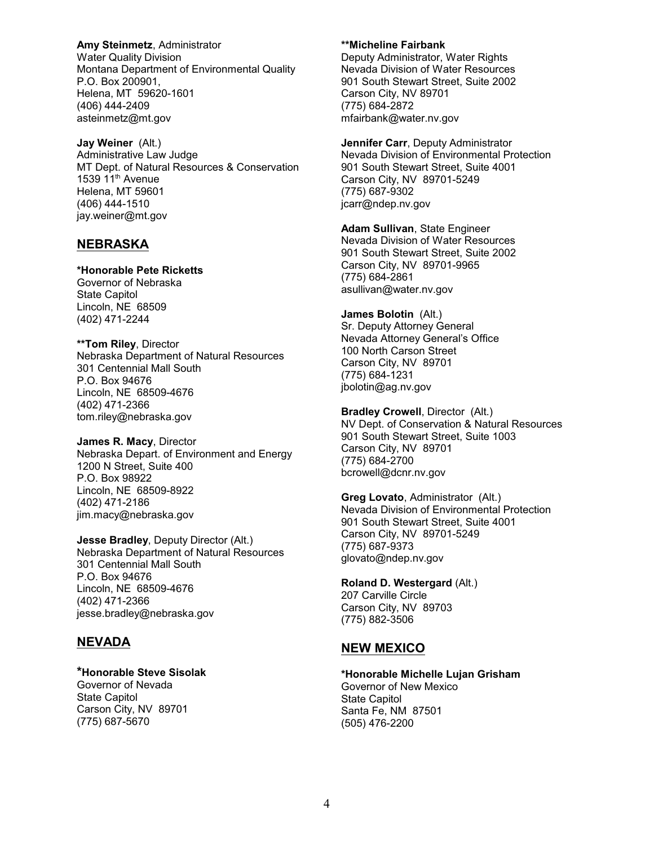**Amy Steinmetz**, Administrator Water Quality Division Montana Department of Environmental Quality P.O. Box 200901, Helena, MT 59620-1601 (406) 444-2409 asteinmetz@mt.gov

**Jay Weiner** (Alt.) Administrative Law Judge MT Dept. of Natural Resources & Conservation 1539  $11<sup>th</sup>$  Avenue Helena, MT 59601 (406) 444-1510 jay.weiner@mt.gov

# **NEBRASKA**

### **\*Honorable Pete Ricketts**

Governor of Nebraska State Capitol Lincoln, NE 68509 (402) 471-2244

**\*\*Tom Riley**, Director Nebraska Department of Natural Resources 301 Centennial Mall South P.O. Box 94676 Lincoln, NE 68509-4676 (402) 471-2366 tom.riley@nebraska.gov

**James R. Macy**, Director Nebraska Depart. of Environment and Energy 1200 N Street, Suite 400 P.O. Box 98922 Lincoln, NE 68509-8922 (402) 471-2186 jim.macy@nebraska.gov

**Jesse Bradley**, Deputy Director (Alt.) Nebraska Department of Natural Resources 301 Centennial Mall South P.O. Box 94676 Lincoln, NE 68509-4676 (402) 471-2366 jesse.bradley@nebraska.gov

# **NEVADA**

### **\*Honorable Steve Sisolak**

Governor of Nevada State Capitol Carson City, NV 89701 (775) 687-5670

#### **\*\*Micheline Fairbank**

Deputy Administrator, Water Rights Nevada Division of Water Resources 901 South Stewart Street, Suite 2002 Carson City, NV 89701 (775) 684-2872 mfairbank@water.nv.gov

**Jennifer Carr**, Deputy Administrator Nevada Division of Environmental Protection 901 South Stewart Street, Suite 4001 Carson City, NV 89701-5249 (775) 687-9302 jcarr@ndep.nv.gov

**Adam Sullivan**, State Engineer Nevada Division of Water Resources 901 South Stewart Street, Suite 2002 Carson City, NV 89701-9965 (775) 684-2861 asullivan@water.nv.gov

**James Bolotin** (Alt.) Sr. Deputy Attorney General Nevada Attorney General's Office 100 North Carson Street Carson City, NV 89701 (775) 684-1231 jbolotin@ag.nv.gov

**Bradley Crowell**, Director (Alt.) NV Dept. of Conservation & Natural Resources 901 South Stewart Street, Suite 1003 Carson City, NV 89701 (775) 684-2700 bcrowell@dcnr.nv.gov

**Greg Lovato**, Administrator (Alt.) Nevada Division of Environmental Protection 901 South Stewart Street, Suite 4001 Carson City, NV 89701-5249 (775) 687-9373 glovato@ndep.nv.gov

### **Roland D. Westergard** (Alt.)

207 Carville Circle Carson City, NV 89703 (775) 882-3506

# **NEW MEXICO**

### **\*Honorable Michelle Lujan Grisham** Governor of New Mexico

State Capitol Santa Fe, NM 87501 (505) 476-2200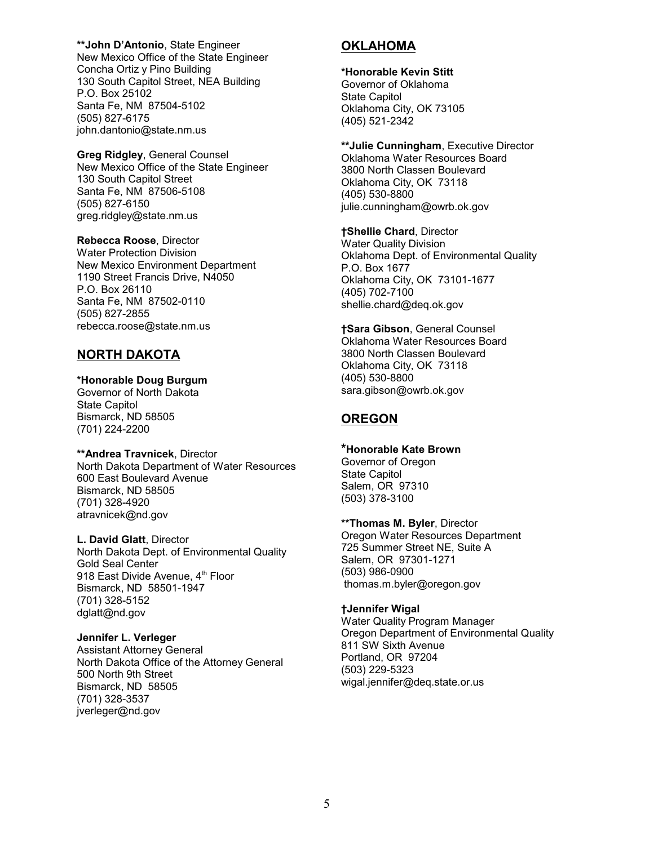**\*\*John D'Antonio**, State Engineer New Mexico Office of the State Engineer Concha Ortiz y Pino Building 130 South Capitol Street, NEA Building P.O. Box 25102 Santa Fe, NM 87504-5102 (505) 827-6175 john.dantonio@state.nm.us

**Greg Ridgley**, General Counsel New Mexico Office of the State Engineer 130 South Capitol Street Santa Fe, NM 87506-5108 (505) 827-6150 greg.ridgley@state.nm.us

**Rebecca Roose**, Director Water Protection Division New Mexico Environment Department 1190 Street Francis Drive, N4050 P.O. Box 26110 Santa Fe, NM 87502-0110 (505) 827-2855 rebecca.roose@state.nm.us

# **NORTH DAKOTA**

### **\*Honorable Doug Burgum**

Governor of North Dakota State Capitol Bismarck, ND 58505 (701) 224-2200

# **\*\*Andrea Travnicek**, Director

North Dakota Department of Water Resources 600 East Boulevard Avenue Bismarck, ND 58505 (701) 328-4920 atravnicek@nd.gov

**L. David Glatt**, Director North Dakota Dept. of Environmental Quality Gold Seal Center 918 East Divide Avenue, 4<sup>th</sup> Floor Bismarck, ND 58501-1947 (701) 328-5152 dglatt@nd.gov

### **Jennifer L. Verleger**

Assistant Attorney General North Dakota Office of the Attorney General 500 North 9th Street Bismarck, ND 58505 (701) 328-3537 jverleger@nd.gov

# **OKLAHOMA**

## **\*Honorable Kevin Stitt**

Governor of Oklahoma State Capitol Oklahoma City, OK 73105 (405) 521-2342

**\*\*Julie Cunningham**, Executive Director Oklahoma Water Resources Board 3800 North Classen Boulevard Oklahoma City, OK 73118 (405) 530-8800 julie.cunningham@owrb.ok.gov

**†Shellie Chard**, Director Water Quality Division Oklahoma Dept. of Environmental Quality P.O. Box 1677 Oklahoma City, OK 73101-1677 (405) 702-7100 shellie.chard@deq.ok.gov

**†Sara Gibson**, General Counsel Oklahoma Water Resources Board 3800 North Classen Boulevard Oklahoma City, OK 73118 (405) 530-8800 sara.gibson@owrb.ok.gov

# **OREGON**

# **\*Honorable Kate Brown**

Governor of Oregon State Capitol Salem, OR 97310 (503) 378-3100

**\*\*Thomas M. Byler**, Director Oregon Water Resources Department 725 Summer Street NE, Suite A Salem, OR 97301-1271 (503) 986-0900

thomas.m.byler@oregon.gov

### **†Jennifer Wigal**

Water Quality Program Manager Oregon Department of Environmental Quality 811 SW Sixth Avenue Portland, OR 97204 (503) 229-5323 wigal.jennifer@deq.state.or.us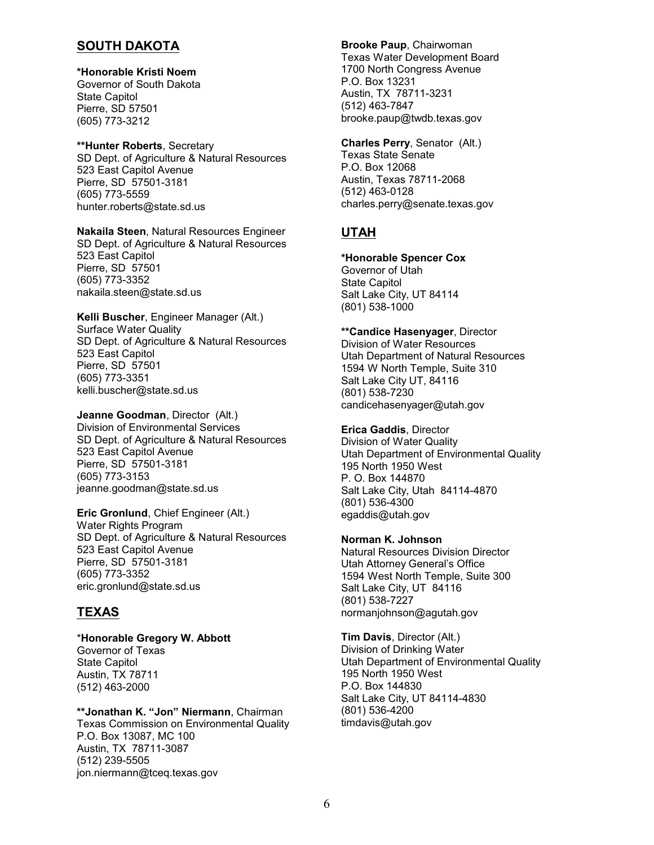# **SOUTH DAKOTA**

#### **\*Honorable Kristi Noem** Governor of South Dakota

State Capitol Pierre, SD 57501 (605) 773-3212

# **\*\*Hunter Roberts**, Secretary

SD Dept. of Agriculture & Natural Resources 523 East Capitol Avenue Pierre, SD 57501-3181 (605) 773-5559 hunter.roberts@state.sd.us

**Nakaila Steen**, Natural Resources Engineer SD Dept. of Agriculture & Natural Resources 523 East Capitol Pierre, SD 57501 (605) 773-3352 nakaila.steen@state.sd.us

### **Kelli Buscher**, Engineer Manager (Alt.) Surface Water Quality SD Dept. of Agriculture & Natural Resources 523 East Capitol Pierre, SD 57501 (605) 773-3351 kelli.buscher@state.sd.us

**Jeanne Goodman**, Director (Alt.) Division of Environmental Services SD Dept. of Agriculture & Natural Resources 523 East Capitol Avenue Pierre, SD 57501-3181 (605) 773-3153 jeanne.goodman@state.sd.us

**Eric Gronlund**, Chief Engineer (Alt.) Water Rights Program SD Dept. of Agriculture & Natural Resources 523 East Capitol Avenue Pierre, SD 57501-3181 (605) 773-3352 eric.gronlund@state.sd.us

# **TEXAS**

### \***Honorable Gregory W. Abbott** Governor of Texas State Capitol Austin, TX 78711 (512) 463-2000

**\*\*Jonathan K. "Jon" Niermann**, Chairman Texas Commission on Environmental Quality P.O. Box 13087, MC 100 Austin, TX 78711-3087 (512) 239-5505 jon.niermann@tceq.texas.gov

### **Brooke Paup**, Chairwoman Texas Water Development Board 1700 North Congress Avenue P.O. Box 13231 Austin, TX 78711-3231 (512) 463-7847 brooke.paup@twdb.texas.gov

**Charles Perry**, Senator (Alt.) Texas State Senate P.O. Box 12068 Austin, Texas 78711-2068 (512) 463-0128 charles.perry@senate.texas.gov

# **UTAH**

# **\*Honorable Spencer Cox**

Governor of Utah State Capitol Salt Lake City, UT 84114 (801) 538-1000

## **\*\*Candice Hasenyager**, Director

Division of Water Resources Utah Department of Natural Resources 1594 W North Temple, Suite 310 Salt Lake City UT, 84116 (801) 538-7230 candicehasenyager@utah.gov

# **Erica Gaddis**, Director

Division of Water Quality Utah Department of Environmental Quality 195 North 1950 West P. O. Box 144870 Salt Lake City, Utah 84114-4870 (801) 536-4300 egaddis@utah.gov

# **Norman K. Johnson**

Natural Resources Division Director Utah Attorney General's Office 1594 West North Temple, Suite 300 Salt Lake City, UT 84116 (801) 538-7227 normanjohnson@agutah.gov

**Tim Davis**, Director (Alt.) Division of Drinking Water Utah Department of Environmental Quality 195 North 1950 West P.O. Box 144830 Salt Lake City, UT 84114-4830 (801) 536-4200 timdavis@utah.gov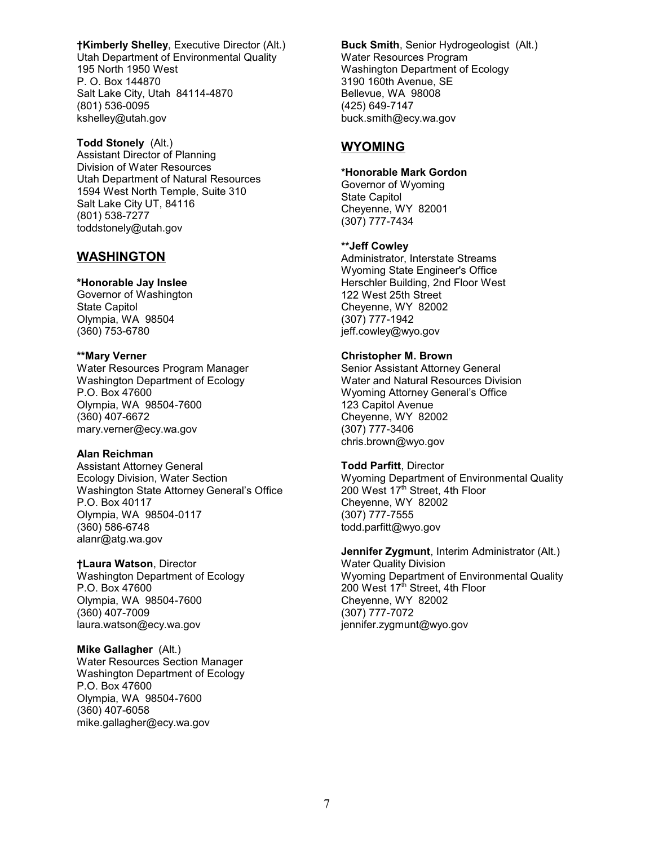**†Kimberly Shelley**, Executive Director (Alt.) Utah Department of Environmental Quality 195 North 1950 West P. O. Box 144870 Salt Lake City, Utah 84114-4870 (801) 536-0095 kshelley@utah.gov

**Todd Stonely** (Alt.) Assistant Director of Planning Division of Water Resources Utah Department of Natural Resources 1594 West North Temple, Suite 310 Salt Lake City UT, 84116 (801) 538-7277 toddstonely@utah.gov

# **WASHINGTON**

### **\*Honorable Jay Inslee**

Governor of Washington State Capitol Olympia, WA 98504 (360) 753-6780

### **\*\*Mary Verner**

Water Resources Program Manager Washington Department of Ecology P.O. Box 47600 Olympia, WA 98504-7600 (360) 407-6672 mary.verner@ecy.wa.gov

### **Alan Reichman**

Assistant Attorney General Ecology Division, Water Section Washington State Attorney General's Office P.O. Box 40117 Olympia, WA 98504-0117 (360) 586-6748 alanr@atg.wa.gov

### **†Laura Watson**, Director

Washington Department of Ecology P.O. Box 47600 Olympia, WA 98504-7600 (360) 407-7009 laura.watson@ecy.wa.gov

### **Mike Gallagher** (Alt.)

Water Resources Section Manager Washington Department of Ecology P.O. Box 47600 Olympia, WA 98504-7600 (360) 407-6058 mike.gallagher@ecy.wa.gov

**Buck Smith**, Senior Hydrogeologist (Alt.) Water Resources Program Washington Department of Ecology 3190 160th Avenue, SE Bellevue, WA 98008 (425) 649-7147 buck.smith@ecy.wa.gov

# **WYOMING**

### **\*Honorable Mark Gordon**

Governor of Wyoming State Capitol Cheyenne, WY 82001 (307) 777-7434

### **\*\*Jeff Cowley**

Administrator, Interstate Streams Wyoming State Engineer's Office Herschler Building, 2nd Floor West 122 West 25th Street Cheyenne, WY 82002 (307) 777-1942 jeff.cowley@wyo.gov

# **Christopher M. Brown**

Senior Assistant Attorney General Water and Natural Resources Division Wyoming Attorney General's Office 123 Capitol Avenue Cheyenne, WY 82002 (307) 777-3406 chris.brown@wyo.gov

### **Todd Parfitt**, Director

Wyoming Department of Environmental Quality 200 West 17th Street, 4th Floor Cheyenne, WY 82002 (307) 777-7555 todd.parfitt@wyo.gov

#### **Jennifer Zygmunt**, Interim Administrator (Alt.) Water Quality Division Wyoming Department of Environmental Quality 200 West 17<sup>th</sup> Street, 4th Floor Cheyenne, WY 82002

(307) 777-7072 jennifer.zygmunt@wyo.gov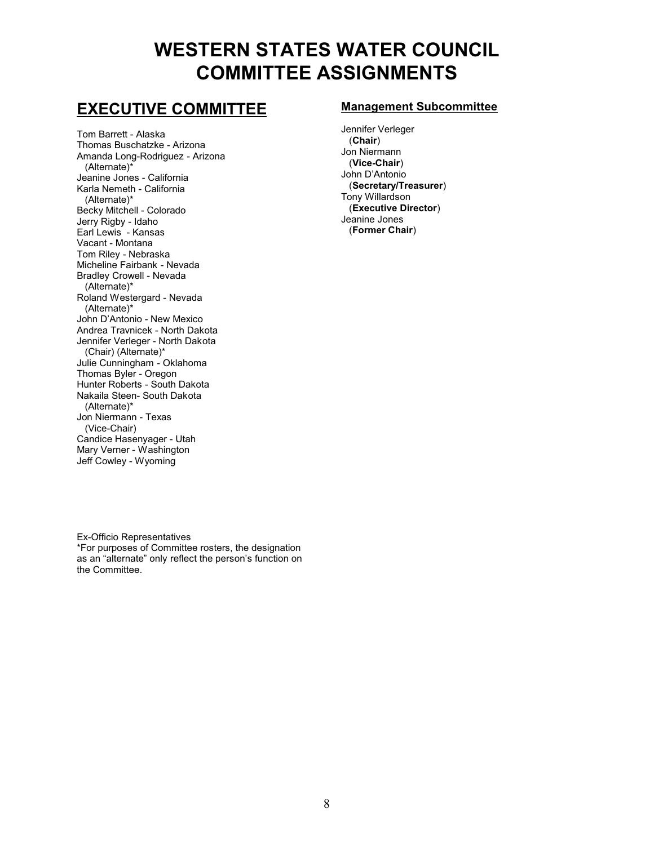# **WESTERN STATES WATER COUNCIL COMMITTEE ASSIGNMENTS**

# **EXECUTIVE COMMITTEE**

Tom Barrett - Alaska Thomas Buschatzke - Arizona Amanda Long-Rodriguez - Arizona (Alternate)\* Jeanine Jones - California Karla Nemeth - California (Alternate)\* Becky Mitchell - Colorado Jerry Rigby - Idaho Earl Lewis - Kansas Vacant - Montana Tom Riley - Nebraska Micheline Fairbank - Nevada Bradley Crowell - Nevada (Alternate)\* Roland Westergard - Nevada (Alternate)\* John D'Antonio - New Mexico Andrea Travnicek - North Dakota Jennifer Verleger - North Dakota (Chair) (Alternate)\* Julie Cunningham - Oklahoma Thomas Byler - Oregon Hunter Roberts - South Dakota Nakaila Steen- South Dakota (Alternate)\* Jon Niermann - Texas (Vice-Chair) Candice Hasenyager - Utah Mary Verner - Washington Jeff Cowley - Wyoming

# **Management Subcommittee**

Jennifer Verleger (**Chair**) Jon Niermann (**Vice-Chair**) John D'Antonio (**Secretary/Treasurer**) Tony Willardson (**Executive Director**) Jeanine Jones (**Former Chair**)

Ex-Officio Representatives \*For purposes of Committee rosters, the designation as an "alternate" only reflect the person's function on the Committee.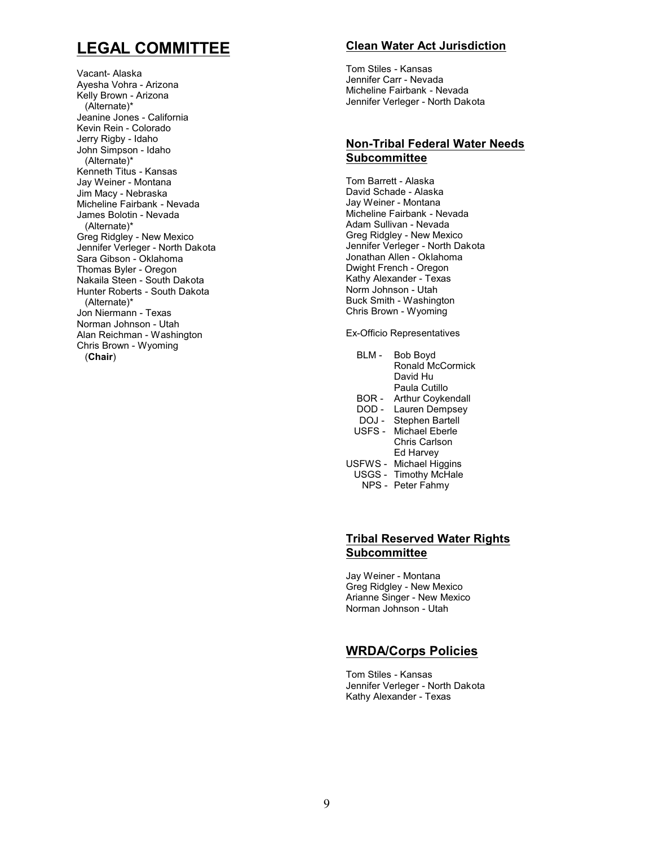# **LEGAL COMMITTEE**

Vacant- Alaska Ayesha Vohra - Arizona Kelly Brown - Arizona (Alternate)\* Jeanine Jones - California Kevin Rein - Colorado Jerry Rigby - Idaho John Simpson - Idaho (Alternate)\* Kenneth Titus - Kansas Jay Weiner - Montana Jim Macy - Nebraska Micheline Fairbank - Nevada James Bolotin - Nevada (Alternate)\* Greg Ridgley - New Mexico Jennifer Verleger - North Dakota Sara Gibson - Oklahoma Thomas Byler - Oregon Nakaila Steen - South Dakota Hunter Roberts - South Dakota (Alternate)\* Jon Niermann - Texas Norman Johnson - Utah Alan Reichman - Washington Chris Brown - Wyoming (**Chair**)

# **Clean Water Act Jurisdiction**

Tom Stiles - Kansas Jennifer Carr - Nevada Micheline Fairbank - Nevada Jennifer Verleger - North Dakota

# **Non-Tribal Federal Water Needs Subcommittee**

Tom Barrett - Alaska David Schade - Alaska Jay Weiner - Montana Micheline Fairbank - Nevada Adam Sullivan - Nevada Greg Ridgley - New Mexico Jennifer Verleger - North Dakota Jonathan Allen - Oklahoma Dwight French - Oregon Kathy Alexander - Texas Norm Johnson - Utah Buck Smith - Washington Chris Brown - Wyoming

Ex-Officio Representatives

| RI M -  | Bob Boyd<br>Ronald McCormick<br>David Hu<br>Paula Cutillo |
|---------|-----------------------------------------------------------|
|         |                                                           |
| BOR -   | Arthur Coykendall                                         |
| DOD -   | Lauren Dempsey                                            |
| DOJ -   | <b>Stephen Bartell</b>                                    |
| USFS-   | Michael Eberle                                            |
|         | Chris Carlson                                             |
|         | Ed Harvey                                                 |
| USFWS - | <b>Michael Higgins</b>                                    |
| USGS -  | <b>Timothy McHale</b>                                     |
| NPS -   | Peter Fahmy                                               |
|         |                                                           |

# **Tribal Reserved Water Rights Subcommittee**

Jay Weiner - Montana Greg Ridgley - New Mexico Arianne Singer - New Mexico Norman Johnson - Utah

# **WRDA/Corps Policies**

Tom Stiles - Kansas Jennifer Verleger - North Dakota Kathy Alexander - Texas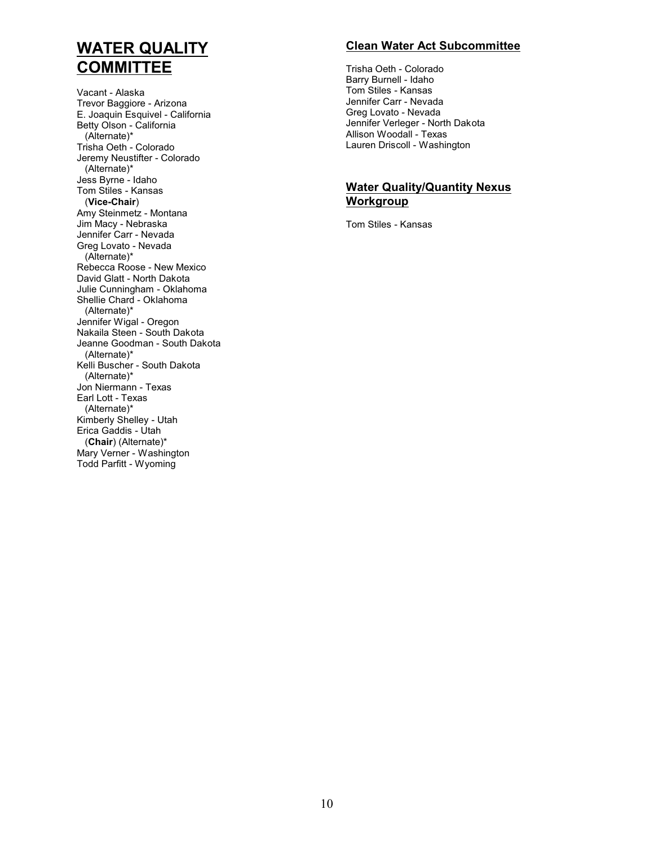# **WATER QUALITY COMMITTEE**

Vacant - Alaska Trevor Baggiore - Arizona E. Joaquin Esquivel - California Betty Olson - California (Alternate)\* Trisha Oeth - Colorado Jeremy Neustifter - Colorado (Alternate)\* Jess Byrne - Idaho Tom Stiles - Kansas (**Vice-Chair**) Amy Steinmetz - Montana Jim Macy - Nebraska Jennifer Carr - Nevada Greg Lovato - Nevada (Alternate)\* Rebecca Roose - New Mexico David Glatt - North Dakota Julie Cunningham - Oklahoma Shellie Chard - Oklahoma (Alternate)\* Jennifer Wigal - Oregon Nakaila Steen - South Dakota Jeanne Goodman - South Dakota (Alternate)\* Kelli Buscher - South Dakota (Alternate)\* Jon Niermann - Texas Earl Lott - Texas (Alternate)\* Kimberly Shelley - Utah Erica Gaddis - Utah (**Chair**) (Alternate)\* Mary Verner - Washington Todd Parfitt - Wyoming

# **Clean Water Act Subcommittee**

Trisha Oeth - Colorado Barry Burnell - Idaho Tom Stiles - Kansas Jennifer Carr - Nevada Greg Lovato - Nevada Jennifer Verleger - North Dakota Allison Woodall - Texas Lauren Driscoll - Washington

# **Water Quality/Quantity Nexus Workgroup**

Tom Stiles - Kansas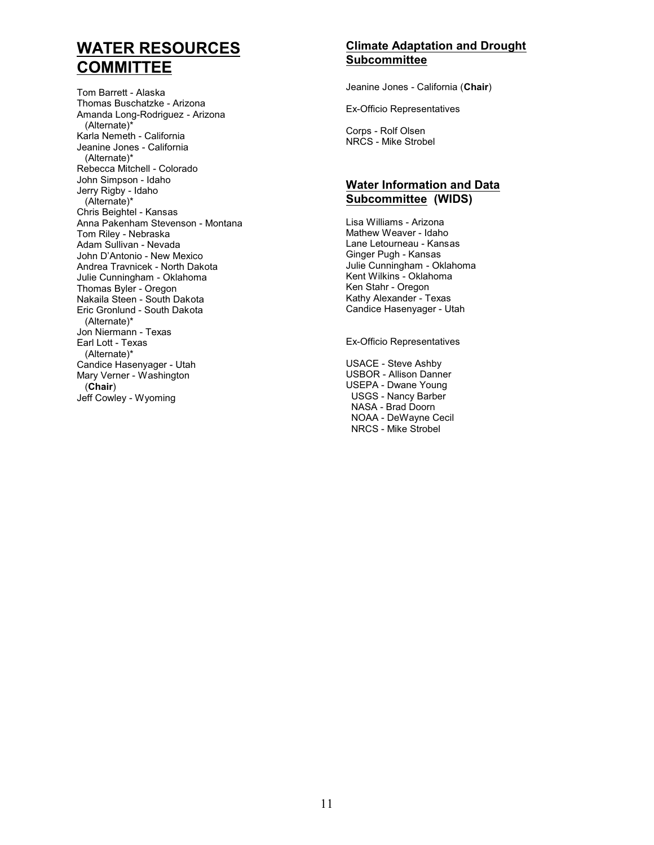# **WATER RESOURCES COMMITTEE**

Tom Barrett - Alaska Thomas Buschatzke - Arizona Amanda Long-Rodriguez - Arizona (Alternate)\* Karla Nemeth - California Jeanine Jones - California (Alternate)\* Rebecca Mitchell - Colorado John Simpson - Idaho Jerry Rigby - Idaho (Alternate)\* Chris Beightel - Kansas Anna Pakenham Stevenson - Montana Tom Riley - Nebraska Adam Sullivan - Nevada John D'Antonio - New Mexico Andrea Travnicek - North Dakota Julie Cunningham - Oklahoma Thomas Byler - Oregon Nakaila Steen - South Dakota Eric Gronlund - South Dakota (Alternate)\* Jon Niermann - Texas Earl Lott - Texas (Alternate)\* Candice Hasenyager - Utah Mary Verner - Washington (**Chair**) Jeff Cowley - Wyoming

# **Climate Adaptation and Drought Subcommittee**

Jeanine Jones - California (**Chair**)

Ex-Officio Representatives

Corps - Rolf Olsen NRCS - Mike Strobel

# **Water Information and Data Subcommittee (WIDS)**

Lisa Williams - Arizona Mathew Weaver - Idaho Lane Letourneau - Kansas Ginger Pugh - Kansas Julie Cunningham - Oklahoma Kent Wilkins - Oklahoma Ken Stahr - Oregon Kathy Alexander - Texas Candice Hasenyager - Utah

Ex-Officio Representatives

USACE - Steve Ashby USBOR - Allison Danner USEPA - Dwane Young USGS - Nancy Barber NASA - Brad Doorn NOAA - DeWayne Cecil NRCS - Mike Strobel